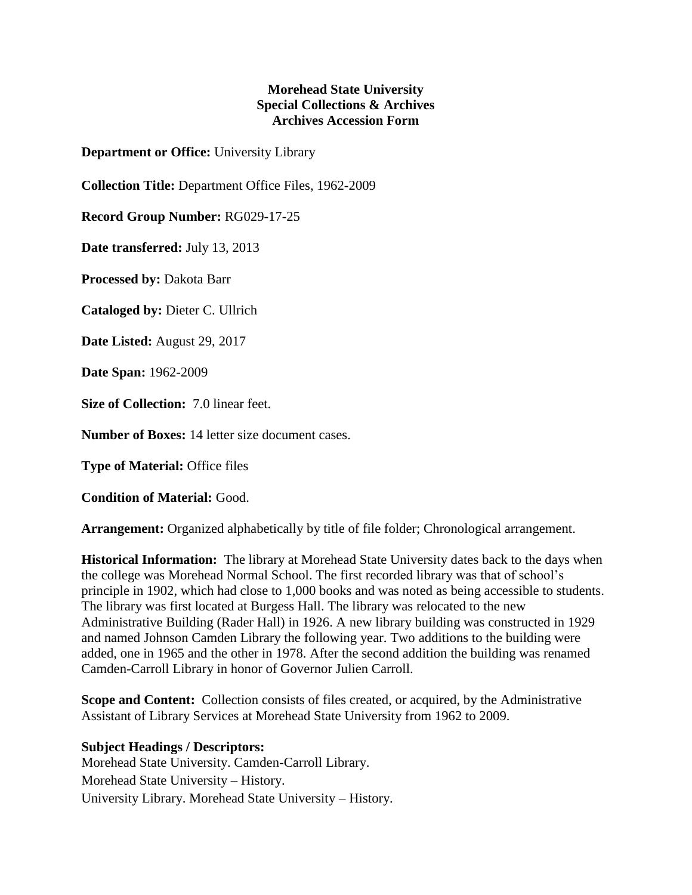## **Morehead State University Special Collections & Archives Archives Accession Form**

**Department or Office:** University Library

**Collection Title:** Department Office Files, 1962-2009

**Record Group Number:** RG029-17-25

**Date transferred:** July 13, 2013

**Processed by:** Dakota Barr

**Cataloged by:** Dieter C. Ullrich

**Date Listed:** August 29, 2017

**Date Span:** 1962-2009

**Size of Collection:** 7.0 linear feet.

**Number of Boxes:** 14 letter size document cases.

**Type of Material:** Office files

**Condition of Material:** Good.

**Arrangement:** Organized alphabetically by title of file folder; Chronological arrangement.

**Historical Information:** The library at Morehead State University dates back to the days when the college was Morehead Normal School. The first recorded library was that of school's principle in 1902, which had close to 1,000 books and was noted as being accessible to students. The library was first located at Burgess Hall. The library was relocated to the new Administrative Building (Rader Hall) in 1926. A new library building was constructed in 1929 and named Johnson Camden Library the following year. Two additions to the building were added, one in 1965 and the other in 1978. After the second addition the building was renamed Camden-Carroll Library in honor of Governor Julien Carroll.

**Scope and Content:** Collection consists of files created, or acquired, by the Administrative Assistant of Library Services at Morehead State University from 1962 to 2009.

**Subject Headings / Descriptors:** Morehead State University. Camden-Carroll Library. Morehead State University – History. University Library. Morehead State University – History.